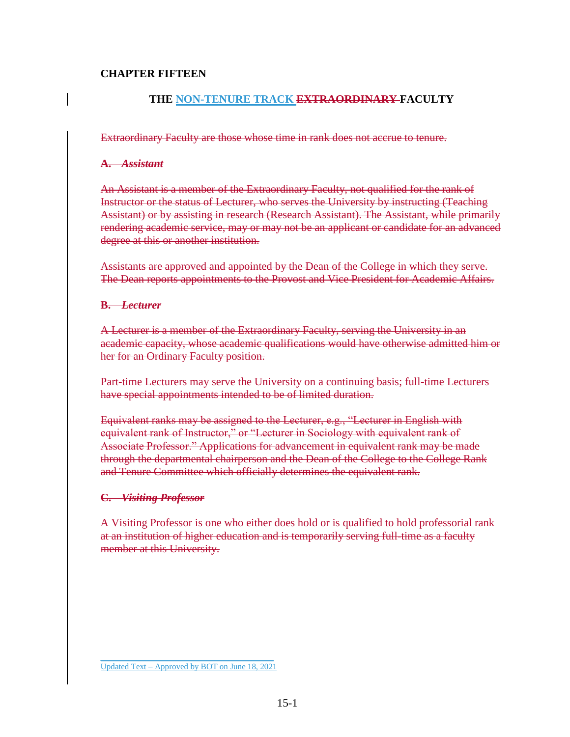#### **CHAPTER FIFTEEN**

### **THE NON-TENURE TRACK EXTRAORDINARY FACULTY**

Extraordinary Faculty are those whose time in rank does not accrue to tenure.

#### **A.** *Assistant*

An Assistant is a member of the Extraordinary Faculty, not qualified for the rank of Instructor or the status of Lecturer, who serves the University by instructing (Teaching Assistant) or by assisting in research (Research Assistant). The Assistant, while primarily rendering academic service, may or may not be an applicant or candidate for an advanced degree at this or another institution.

Assistants are approved and appointed by the Dean of the College in which they serve. The Dean reports appointments to the Provost and Vice President for Academic Affairs.

#### **B.** *Lecturer*

A Lecturer is a member of the Extraordinary Faculty, serving the University in an academic capacity, whose academic qualifications would have otherwise admitted him or her for an Ordinary Faculty position.

Part-time Lecturers may serve the University on a continuing basis; full-time Lecturers have special appointments intended to be of limited duration.

Equivalent ranks may be assigned to the Lecturer, e.g., "Lecturer in English with equivalent rank of Instructor," or "Lecturer in Sociology with equivalent rank of Associate Professor." Applications for advancement in equivalent rank may be made through the departmental chairperson and the Dean of the College to the College Rank and Tenure Committee which officially determines the equivalent rank.

#### **C.** *Visiting Professor*

A Visiting Professor is one who either does hold or is qualified to hold professorial rank at an institution of higher education and is temporarily serving full-time as a faculty member at this University.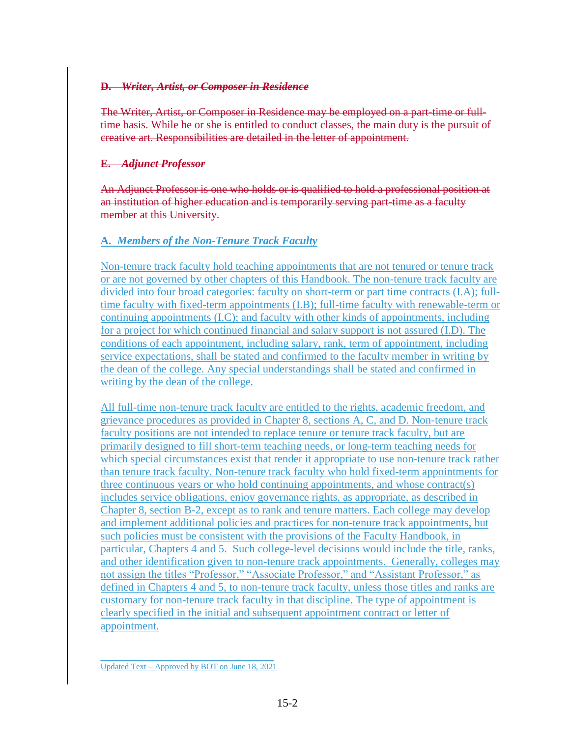### **D.** *Writer, Artist, or Composer in Residence*

The Writer, Artist, or Composer in Residence may be employed on a part-time or fulltime basis. While he or she is entitled to conduct classes, the main duty is the pursuit of creative art. Responsibilities are detailed in the letter of appointment.

### **E.** *Adjunct Professor*

An Adjunct Professor is one who holds or is qualified to hold a professional position at an institution of higher education and is temporarily serving part-time as a faculty member at this University.

## **A.** *Members of the Non-Tenure Track Faculty*

Non-tenure track faculty hold teaching appointments that are not tenured or tenure track or are not governed by other chapters of this Handbook. The non-tenure track faculty are divided into four broad categories: faculty on short-term or part time contracts (I.A); fulltime faculty with fixed-term appointments (I.B); full-time faculty with renewable-term or continuing appointments (I.C); and faculty with other kinds of appointments, including for a project for which continued financial and salary support is not assured (I.D). The conditions of each appointment, including salary, rank, term of appointment, including service expectations, shall be stated and confirmed to the faculty member in writing by the dean of the college. Any special understandings shall be stated and confirmed in writing by the dean of the college.

All full-time non-tenure track faculty are entitled to the rights, academic freedom, and grievance procedures as provided in Chapter 8, sections A, C, and D. Non-tenure track faculty positions are not intended to replace tenure or tenure track faculty, but are primarily designed to fill short-term teaching needs, or long-term teaching needs for which special circumstances exist that render it appropriate to use non-tenure track rather than tenure track faculty. Non-tenure track faculty who hold fixed-term appointments for three continuous years or who hold continuing appointments, and whose contract(s) includes service obligations, enjoy governance rights, as appropriate, as described in Chapter 8, section B-2, except as to rank and tenure matters. Each college may develop and implement additional policies and practices for non-tenure track appointments, but such policies must be consistent with the provisions of the Faculty Handbook, in particular, Chapters 4 and 5. Such college-level decisions would include the title, ranks, and other identification given to non-tenure track appointments. Generally, colleges may not assign the titles "Professor," "Associate Professor," and "Assistant Professor," as defined in Chapters 4 and 5, to non-tenure track faculty, unless those titles and ranks are customary for non-tenure track faculty in that discipline. The type of appointment is clearly specified in the initial and subsequent appointment contract or letter of appointment.

\_\_\_\_\_\_\_\_\_\_\_\_\_\_\_\_\_\_\_\_\_\_\_\_\_\_\_\_\_\_\_ Updated Text – Approved by BOT on June 18, 2021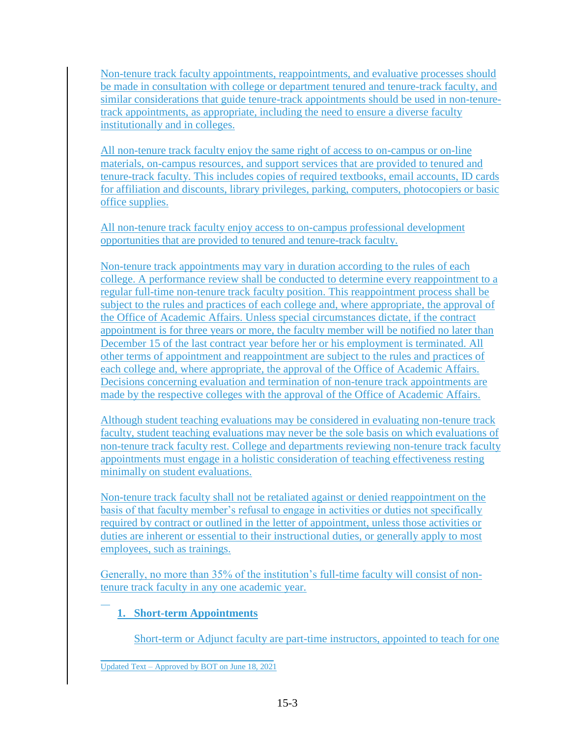Non-tenure track faculty appointments, reappointments, and evaluative processes should be made in consultation with college or department tenured and tenure-track faculty, and similar considerations that guide tenure-track appointments should be used in non-tenuretrack appointments, as appropriate, including the need to ensure a diverse faculty institutionally and in colleges.

All non-tenure track faculty enjoy the same right of access to on-campus or on-line materials, on-campus resources, and support services that are provided to tenured and tenure-track faculty. This includes copies of required textbooks, email accounts, ID cards for affiliation and discounts, library privileges, parking, computers, photocopiers or basic office supplies.

All non-tenure track faculty enjoy access to on-campus professional development opportunities that are provided to tenured and tenure-track faculty.

Non-tenure track appointments may vary in duration according to the rules of each college. A performance review shall be conducted to determine every reappointment to a regular full-time non-tenure track faculty position. This reappointment process shall be subject to the rules and practices of each college and, where appropriate, the approval of the Office of Academic Affairs. Unless special circumstances dictate, if the contract appointment is for three years or more, the faculty member will be notified no later than December 15 of the last contract year before her or his employment is terminated. All other terms of appointment and reappointment are subject to the rules and practices of each college and, where appropriate, the approval of the Office of Academic Affairs. Decisions concerning evaluation and termination of non-tenure track appointments are made by the respective colleges with the approval of the Office of Academic Affairs.

Although student teaching evaluations may be considered in evaluating non-tenure track faculty, student teaching evaluations may never be the sole basis on which evaluations of non-tenure track faculty rest. College and departments reviewing non-tenure track faculty appointments must engage in a holistic consideration of teaching effectiveness resting minimally on student evaluations.

Non-tenure track faculty shall not be retaliated against or denied reappointment on the basis of that faculty member's refusal to engage in activities or duties not specifically required by contract or outlined in the letter of appointment, unless those activities or duties are inherent or essential to their instructional duties, or generally apply to most employees, such as trainings.

Generally, no more than 35% of the institution's full-time faculty will consist of nontenure track faculty in any one academic year.

# **1. Short-term Appointments**

Short-term or Adjunct faculty are part-time instructors, appointed to teach for one

\_\_\_\_\_\_\_\_\_\_\_\_\_\_\_\_\_\_\_\_\_\_\_\_\_\_\_\_\_\_\_ Updated Text – Approved by BOT on June 18, 2021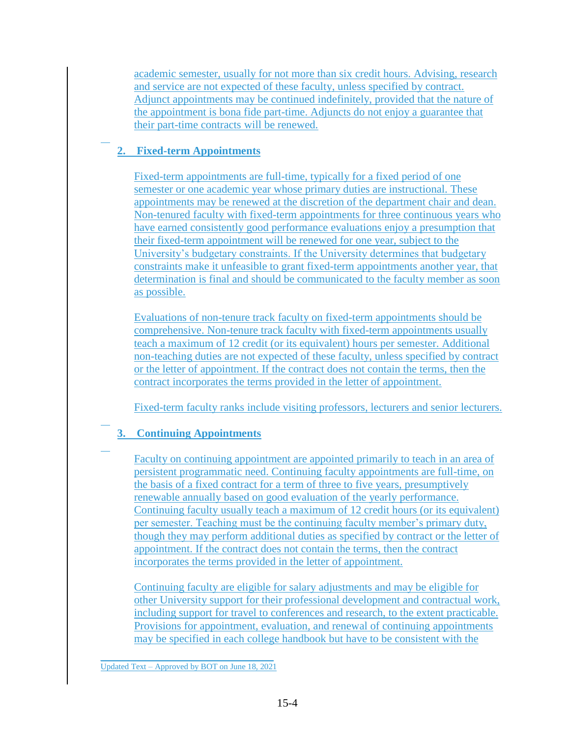academic semester, usually for not more than six credit hours. Advising, research and service are not expected of these faculty, unless specified by contract. Adjunct appointments may be continued indefinitely, provided that the nature of the appointment is bona fide part-time. Adjuncts do not enjoy a guarantee that their part-time contracts will be renewed.

# **2. Fixed-term Appointments**

Fixed-term appointments are full-time, typically for a fixed period of one semester or one academic year whose primary duties are instructional. These appointments may be renewed at the discretion of the department chair and dean. Non-tenured faculty with fixed-term appointments for three continuous years who have earned consistently good performance evaluations enjoy a presumption that their fixed-term appointment will be renewed for one year, subject to the University's budgetary constraints. If the University determines that budgetary constraints make it unfeasible to grant fixed-term appointments another year, that determination is final and should be communicated to the faculty member as soon as possible.

Evaluations of non-tenure track faculty on fixed-term appointments should be comprehensive. Non-tenure track faculty with fixed-term appointments usually teach a maximum of 12 credit (or its equivalent) hours per semester. Additional non-teaching duties are not expected of these faculty, unless specified by contract or the letter of appointment. If the contract does not contain the terms, then the contract incorporates the terms provided in the letter of appointment.

Fixed-term faculty ranks include visiting professors, lecturers and senior lecturers.

# **3. Continuing Appointments**

Faculty on continuing appointment are appointed primarily to teach in an area of persistent programmatic need. Continuing faculty appointments are full-time, on the basis of a fixed contract for a term of three to five years, presumptively renewable annually based on good evaluation of the yearly performance. Continuing faculty usually teach a maximum of 12 credit hours (or its equivalent) per semester. Teaching must be the continuing faculty member's primary duty, though they may perform additional duties as specified by contract or the letter of appointment. If the contract does not contain the terms, then the contract incorporates the terms provided in the letter of appointment.

Continuing faculty are eligible for salary adjustments and may be eligible for other University support for their professional development and contractual work, including support for travel to conferences and research, to the extent practicable. Provisions for appointment, evaluation, and renewal of continuing appointments may be specified in each college handbook but have to be consistent with the

\_\_\_\_\_\_\_\_\_\_\_\_\_\_\_\_\_\_\_\_\_\_\_\_\_\_\_\_\_\_\_ Updated Text – Approved by BOT on June 18, 2021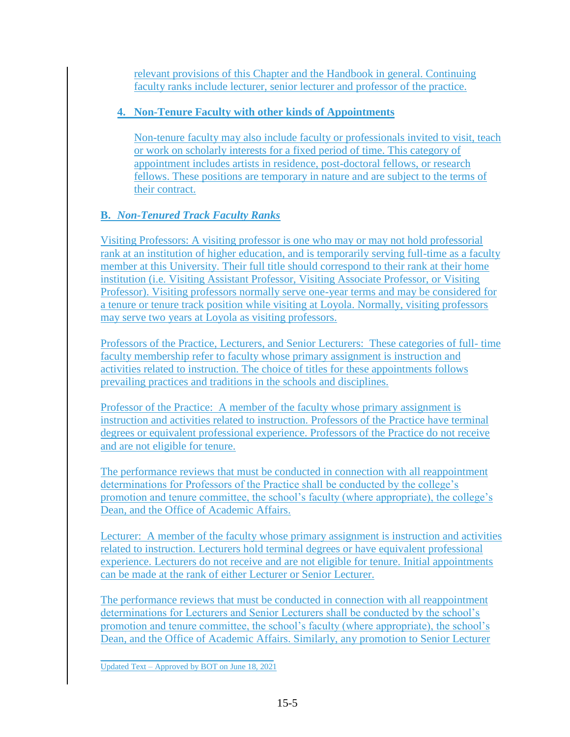relevant provisions of this Chapter and the Handbook in general. Continuing faculty ranks include lecturer, senior lecturer and professor of the practice.

## **4. Non-Tenure Faculty with other kinds of Appointments**

Non-tenure faculty may also include faculty or professionals invited to visit, teach or work on scholarly interests for a fixed period of time. This category of appointment includes artists in residence, post-doctoral fellows, or research fellows. These positions are temporary in nature and are subject to the terms of their contract.

# **B.** *Non-Tenured Track Faculty Ranks*

Visiting Professors: A visiting professor is one who may or may not hold professorial rank at an institution of higher education, and is temporarily serving full-time as a faculty member at this University. Their full title should correspond to their rank at their home institution (i.e. Visiting Assistant Professor, Visiting Associate Professor, or Visiting Professor). Visiting professors normally serve one-year terms and may be considered for a tenure or tenure track position while visiting at Loyola. Normally, visiting professors may serve two years at Loyola as visiting professors.

Professors of the Practice, Lecturers, and Senior Lecturers: These categories of full- time faculty membership refer to faculty whose primary assignment is instruction and activities related to instruction. The choice of titles for these appointments follows prevailing practices and traditions in the schools and disciplines.

Professor of the Practice: A member of the faculty whose primary assignment is instruction and activities related to instruction. Professors of the Practice have terminal degrees or equivalent professional experience. Professors of the Practice do not receive and are not eligible for tenure.

The performance reviews that must be conducted in connection with all reappointment determinations for Professors of the Practice shall be conducted by the college's promotion and tenure committee, the school's faculty (where appropriate), the college's Dean, and the Office of Academic Affairs.

Lecturer: A member of the faculty whose primary assignment is instruction and activities related to instruction. Lecturers hold terminal degrees or have equivalent professional experience. Lecturers do not receive and are not eligible for tenure. Initial appointments can be made at the rank of either Lecturer or Senior Lecturer.

The performance reviews that must be conducted in connection with all reappointment determinations for Lecturers and Senior Lecturers shall be conducted by the school's promotion and tenure committee, the school's faculty (where appropriate), the school's Dean, and the Office of Academic Affairs. Similarly, any promotion to Senior Lecturer

\_\_\_\_\_\_\_\_\_\_\_\_\_\_\_\_\_\_\_\_\_\_\_\_\_\_\_\_\_\_\_ Updated Text – Approved by BOT on June 18, 2021